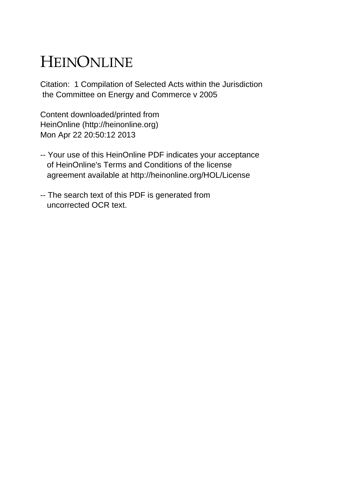# HEINONLINE

Citation: 1 Compilation of Selected Acts within the Jurisdiction the Committee on Energy and Commerce v 2005

Content downloaded/printed from HeinOnline (http://heinonline.org) Mon Apr 22 20:50:12 2013

- -- Your use of this HeinOnline PDF indicates your acceptance of HeinOnline's Terms and Conditions of the license agreement available at http://heinonline.org/HOL/License
- -- The search text of this PDF is generated from uncorrected OCR text.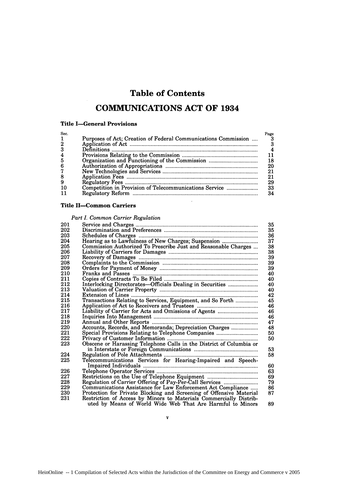## **Table of Contents**

## **COMMUNICATIONS ACT OF 1934**

### **Title I-General Provisions**

| Sec. |                                                                | Page |  |
|------|----------------------------------------------------------------|------|--|
|      | Purposes of Act; Creation of Federal Communications Commission |      |  |
|      |                                                                |      |  |
|      | )efinitions                                                    |      |  |
| 4    |                                                                |      |  |
| 5    | Organization and Functioning of the Commission                 |      |  |
| 6    |                                                                | 20   |  |
|      |                                                                |      |  |
| 8    |                                                                |      |  |
| 9    |                                                                | 29   |  |
| 10   | Competition in Provision of Telecommunications Service         | 33   |  |
| 11   | Regulatory Reform                                              |      |  |
|      |                                                                |      |  |

#### **Title II-Common Carriers**

#### *Part I. Common Carrier Regulation*

| 201                                       |                                                                     | 35 |  |
|-------------------------------------------|---------------------------------------------------------------------|----|--|
| 202                                       |                                                                     | 35 |  |
| 203                                       |                                                                     | 36 |  |
| $\frac{204}{205}$                         | Hearing as to Lawfulness of New Charges; Suspension                 | 37 |  |
|                                           | Commission Authorized To Prescribe Just and Reasonable Charges      | 38 |  |
| 206                                       |                                                                     | 38 |  |
| 207                                       |                                                                     | 39 |  |
| 208                                       |                                                                     | 39 |  |
| 209                                       |                                                                     | 39 |  |
| 210                                       |                                                                     | 40 |  |
| 211                                       |                                                                     | 40 |  |
|                                           | Interlocking Directorates-Officials Dealing in Securities           | 40 |  |
| $\begin{array}{c} 212 \\ 213 \end{array}$ |                                                                     | 40 |  |
| $\begin{array}{c} 214 \\ 215 \end{array}$ |                                                                     | 42 |  |
|                                           | Transactions Relating to Services, Equipment, and So Forth          | 45 |  |
| 216                                       |                                                                     | 46 |  |
| 217                                       | Liability of Carrier for Acts and Omissions of Agents               | 46 |  |
| 218                                       |                                                                     | 46 |  |
| 219                                       |                                                                     | 47 |  |
| 220                                       | Accounts, Records, and Memoranda; Depreciation Charges              | 48 |  |
| 221                                       | Special Provisions Relating to Telephone Companies                  | 50 |  |
| 222                                       |                                                                     | 50 |  |
| 223                                       | Obscene or Harassing Telephone Calls in the District of Columbia or |    |  |
|                                           |                                                                     | 53 |  |
| 224                                       |                                                                     | 58 |  |
| 225                                       | Telecommunications Services for Hearing-Impaired and Speech-        |    |  |
|                                           |                                                                     | 60 |  |
| 226                                       |                                                                     | 63 |  |
| 227                                       |                                                                     | 69 |  |
| 228                                       | Regulation of Carrier Offering of Pay-Per-Call Services             | 79 |  |
| 229                                       | Communications Assistance for Law Enforcement Act Compliance        | 86 |  |
| 230                                       | Protection for Private Blocking and Screening of Offensive Material | 87 |  |
| 231                                       | Restriction of Access by Minors to Materials Commercially Distrib-  |    |  |
|                                           | uted by Means of World Wide Web That Are Harmful to Minors          | 89 |  |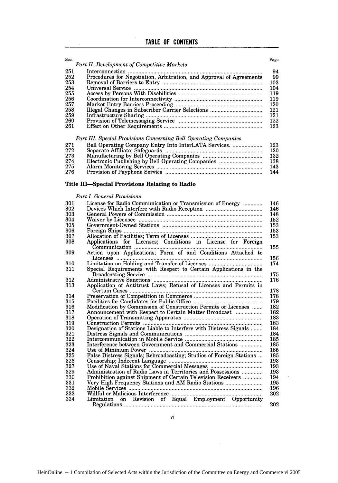| Sec. |                                                                     | Page |
|------|---------------------------------------------------------------------|------|
|      | Part II. Development of Competitive Markets                         |      |
| 251  |                                                                     | 94   |
| 252  | Procedures for Negotiation, Arbitration, and Approval of Agreements | 99   |
| 253  |                                                                     | 103  |
| 254  |                                                                     | 104  |
| 255  |                                                                     | 119  |
| 256  |                                                                     | 119  |
| 257  |                                                                     | 120  |
| 258  |                                                                     | 121  |
| 259  |                                                                     | 121  |
| 260  |                                                                     | 122  |
| 261  |                                                                     | 123  |
|      |                                                                     |      |

#### *Part III. Special Provisions Concerning Bell Operating Companies*

| 271 |       |
|-----|-------|
| 272 | 130   |
| 273 | - 132 |
| 274 | - 138 |
| 275 | 143   |
| 276 | 144   |

#### **Title III-Special Provisions Relating to Radio**

#### *Part I. General Provisions*

| 301 | License for Radio Communication or Transmission of Energy                     | 146         |
|-----|-------------------------------------------------------------------------------|-------------|
| 302 |                                                                               | 146         |
| 303 |                                                                               | 148         |
| 304 |                                                                               | 152         |
| 305 |                                                                               | 153         |
| 306 |                                                                               | 153         |
| 307 |                                                                               | 153         |
| 308 | Applications for Licenses; Conditions in License for Foreign<br>Communication | 155         |
| 309 | Action upon Applications; Form of and Conditions Attached to<br>Licenses<br>  | 156         |
| 310 |                                                                               | 174         |
| 311 | Special Requirements with Respect to Certain Applications in the              | 175         |
| 312 |                                                                               | 176         |
| 313 | Application of Antitrust Laws; Refusal of Licenses and Permits in             | 178         |
| 314 |                                                                               | 178         |
| 315 |                                                                               | 179         |
| 316 | Modification by Commission of Construction Permits or Licenses                | 182         |
| 317 | Announcement with Respect to Certain Matter Broadcast                         | 182         |
| 318 |                                                                               | 183         |
| 319 |                                                                               | 183         |
| 320 | Designation of Stations Liable to Interfere with Distress Signals             | 184         |
| 321 |                                                                               | 184         |
| 322 |                                                                               | 185         |
| 323 | Interference between Government and Commercial Stations                       | 185         |
| 324 |                                                                               | 185         |
| 325 | False Distress Signals; Rebroadcasting; Studios of Foreign Stations           | 185         |
| 326 |                                                                               | 193         |
| 327 | Use of Naval Stations for Commercial Messages                                 | 193         |
| 329 | Administration of Radio Laws in Territories and Possessions                   | 193         |
| 330 | Prohibition against Shipment of Certain Television Receivers                  | 194         |
| 331 | Very High Frequency Stations and AM Radio Stations                            | 195         |
| 332 |                                                                               | $\cdot$ 196 |
| 333 |                                                                               | 202         |
| 334 | Limitation on Revision of Equal Employment Opportunity                        |             |
|     |                                                                               | 202         |

 $\cdot$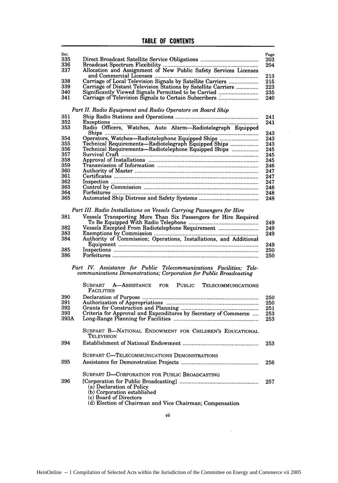**TABLE OF CONTENTS**

| Sec. |                                                                              | Page |
|------|------------------------------------------------------------------------------|------|
| 335  |                                                                              | 203  |
| 336  |                                                                              | 204  |
| 337  | Allocation and Assignment of New Public Safety Services Licenses             |      |
|      |                                                                              | 213  |
| 338  | Carriage of Local Television Signals by Satellite Carriers                   | 215  |
| 339  | Carriage of Distant Television Stations by Satellite Carriers                | 223  |
| 340  | Significantly Viewed Signals Permitted to be Carried                         | 235  |
| 341  |                                                                              | 240  |
|      |                                                                              |      |
|      | Part II. Radio Equipment and Radio Operators on Board Ship                   |      |
| 351  |                                                                              | 241  |
| 352  |                                                                              | 241  |
| 353  | Radio Officers, Watches, Auto Alarm-Radiotelegraph Equipped                  |      |
|      |                                                                              | 243  |
| 354  | Operators, Watches-Radiotelephone Equipped Ships                             | 243  |
| 355  | Technical Requirements-Radiotelegraph Equipped Ships                         | 243  |
| 356  | Technical Requirements—Radiotelephone Equipped Ships                         | 245  |
| 357  |                                                                              | 245  |
| 358  |                                                                              | 245  |
| 359  |                                                                              |      |
| 360  |                                                                              |      |
| 361  |                                                                              |      |
| 362  |                                                                              |      |
| 363  |                                                                              |      |
| 364  |                                                                              |      |
| 365  |                                                                              | 248  |
|      |                                                                              |      |
|      | Part III. Radio Installations on Vessels Carrying Passengers for Hire        |      |
|      |                                                                              |      |
| 381  | Vessels Transporting More Than Six Passengers for Hire Required              |      |
|      |                                                                              | 249  |
| 382  | Vessels Excepted From Radiotelephone Requirement                             | 249  |
| 383  |                                                                              | 249  |
| 384  | Authority of Commission; Operations, Installations, and Additional           |      |
|      |                                                                              | 249  |
| 385  |                                                                              | 250  |
| 386  |                                                                              | 250  |
|      |                                                                              |      |
|      | Part IV. Assistance for Public Telecommunications Facilities: Tele-          |      |
|      | communications Demonstrations; Corporation for Public Broadcasting           |      |
|      |                                                                              |      |
|      | <b>SUBPART</b><br>A-ASSISTANCE<br>FOR<br>PUBLIC<br><b>TELECOMMUNICATIONS</b> |      |
|      | FACILITIES                                                                   |      |
| 390  |                                                                              |      |
| 391  |                                                                              | 250  |
| 392  |                                                                              | 250  |
|      |                                                                              | 251  |
| 393  | Criteria for Approval and Expenditures by Secretary of Commerce              | 253  |
| 393A |                                                                              | 253  |
|      |                                                                              |      |
|      | SUBPART B-NATIONAL ENDOWMENT FOR CHILDREN'S EDUCATIONAL                      |      |
|      | Television                                                                   |      |
| 394  |                                                                              | 253  |
|      |                                                                              |      |
|      | SUBPART C-TELECOMMUNICATIONS DEMONSTRATIONS                                  |      |
|      |                                                                              |      |
| 395  |                                                                              | 256  |
|      |                                                                              |      |
|      | SUBPART D-CORPORATION FOR PUBLIC BROADCASTING                                |      |
| 396  |                                                                              | 257  |
|      | (a) Declaration of Policy                                                    |      |
|      | (b) Corporation established                                                  |      |
|      | (c) Board of Directors                                                       |      |
|      | (d) Election of Chairman and Vice Chairman; Compensation                     |      |

 $\ddot{\phantom{a}}$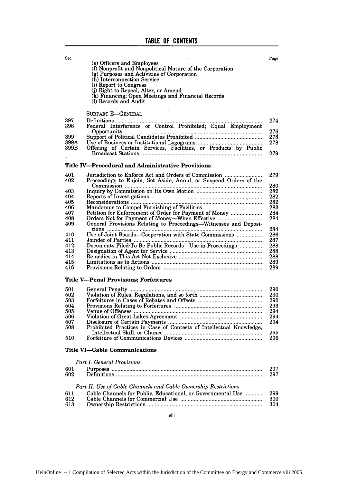Sec. Page

| (e) Officers and Employees                               |  |
|----------------------------------------------------------|--|
| (f) Nonprofit and Nonpolitical Nature of the Corporation |  |
| (g) Purposes and Activities of Corporation               |  |

- 
- (h) Interconnection Service
- 
- 
- (i) Report to Congress **(j)** Right to Repeal, Alter, or Amend (k) Financing; Open Meetings and Financial Records (1) Records and Audit
- 

SUBPART E-GENERAL

| 397  |                                                                 |       |
|------|-----------------------------------------------------------------|-------|
| 398  | Federal Interference or Control Prohibited; Equal Employment    |       |
|      |                                                                 |       |
| 399  |                                                                 |       |
| 399A |                                                                 |       |
| 399B | Offering of Certain Services, Facilities, or Products by Public |       |
|      |                                                                 | - 279 |
|      |                                                                 |       |

 $\sim$ 

 $\sim$  10  $\pm$ 

#### **Title TV-Procedural and Administrative Provisions**

| 401 | Jurisdiction to Enforce Act and Orders of Commission              | 279 |
|-----|-------------------------------------------------------------------|-----|
| 402 | Proceedings to Enjoin, Set Aside, Annul, or Suspend Orders of the | 280 |
| 403 |                                                                   | 282 |
| 404 |                                                                   | 282 |
| 405 |                                                                   | 282 |
| 406 |                                                                   | 283 |
| 407 | Petition for Enforcement of Order for Payment of Money            | 284 |
| 408 | Orders Not for Payment of Money—When Effective                    | 284 |
| 409 | General Provisions Relating to Proceedings-Witnesses and Deposi-  | 284 |
| 410 | Use of Joint Boards—Cooperation with State Commissions            | 286 |
| 411 |                                                                   | 287 |
| 412 | Documents Filed To Be Public Records-Use in Proceedings           | 288 |
| 413 |                                                                   | 288 |
| 414 |                                                                   | 288 |
| 415 |                                                                   | 289 |
| 416 |                                                                   | 289 |

#### **Title V-Penal Provisions; Forfeitures**

| 501 |                                                                     | 290 |
|-----|---------------------------------------------------------------------|-----|
| 502 |                                                                     | 290 |
| 503 |                                                                     | 290 |
| 504 |                                                                     | 293 |
| 505 |                                                                     | 294 |
| 506 |                                                                     | 294 |
| 507 |                                                                     | 294 |
| 508 | Prohibited Practices in Case of Contests of Intellectual Knowledge. | 295 |
| 510 |                                                                     | 296 |

#### **Title VI-Cable Communications**

 $\mathcal{L}_{\mathcal{L}}$ 

 $\ddot{\phantom{a}}$ 

|     | Part I. General Provisions                                      |      |  |
|-----|-----------------------------------------------------------------|------|--|
| 601 | Purposes                                                        | 297  |  |
| 602 | Definitions                                                     | 297  |  |
|     | Part II. Use of Cable Channels and Cable Ownership Restrictions |      |  |
| 611 | Cable Channels for Public, Educational, or Governmental Use     | 299  |  |
| 612 |                                                                 | -300 |  |
| 613 |                                                                 | 304  |  |

viii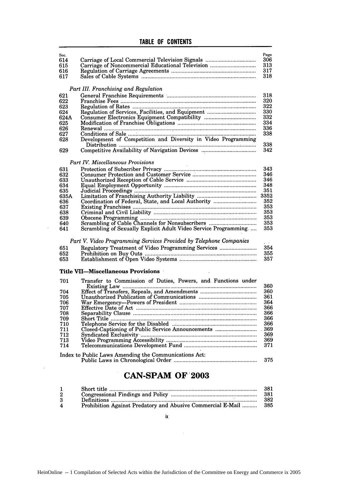| Sec. |                                                                    | Page             |  |
|------|--------------------------------------------------------------------|------------------|--|
| 614  | Carriage of Local Commercial Television Signals                    | 306              |  |
| 615  | Carriage of Noncommercial Educational Television                   | 313              |  |
| 616  |                                                                    | 317              |  |
| 617  |                                                                    | 318              |  |
|      | Part III. Franchising and Regulation                               |                  |  |
|      |                                                                    | 318              |  |
| 621  |                                                                    |                  |  |
| 622  |                                                                    | 320              |  |
| 623  |                                                                    | 322              |  |
| 624  |                                                                    | 330              |  |
| 624A |                                                                    | 332              |  |
| 625  |                                                                    | 334              |  |
| 626  |                                                                    | 336              |  |
| 627  |                                                                    | 338              |  |
| 628  | Development of Competition and Diversity in Video Programming      |                  |  |
|      |                                                                    | 338              |  |
|      |                                                                    | 342              |  |
| 629  |                                                                    |                  |  |
|      | Part IV. Miscellaneous Provisions                                  |                  |  |
| 631  |                                                                    | 343              |  |
| 632  |                                                                    | 346              |  |
| 633  |                                                                    | 346              |  |
| 634  |                                                                    | -348             |  |
|      |                                                                    |                  |  |
| 635  |                                                                    |                  |  |
| 635A |                                                                    |                  |  |
| 636  |                                                                    |                  |  |
| 637  |                                                                    | 353              |  |
| 638  |                                                                    | 353              |  |
| 639  |                                                                    | 353              |  |
| 640  | Scrambling of Cable Channels for Nonsubscribers                    | 353              |  |
| 641  | Scrambling of Sexually Explicit Adult Video Service Programming    | 353              |  |
|      |                                                                    |                  |  |
|      | Part V. Video Programming Services Provided by Telephone Companies | $\sim$ 100 $\mu$ |  |
| 651  | Regulatory Treatment of Video Programming Services                 | 354              |  |
| 652  |                                                                    | 355              |  |
| 653  |                                                                    | 357              |  |
|      |                                                                    |                  |  |
|      | <b>Title VII—Miscellaneous Provisions</b>                          |                  |  |
| 701  | Transfer to Commission of Duties, Powers, and Functions under      |                  |  |
|      |                                                                    | 360              |  |
|      |                                                                    |                  |  |
| 704  |                                                                    | 360              |  |
| 705  |                                                                    | 361              |  |
| 706  |                                                                    | 364              |  |
| 707  |                                                                    | 366              |  |
| 708  |                                                                    | 366              |  |
| 709  |                                                                    | 366              |  |
| 710  |                                                                    | 366              |  |
| 711  |                                                                    |                  |  |
|      |                                                                    |                  |  |
| 712  |                                                                    | 369              |  |
| 713  |                                                                    | 369              |  |
| 714  |                                                                    | 371              |  |
|      | Index to Public Laws Amending the Communications Act:              |                  |  |
|      |                                                                    |                  |  |
|      |                                                                    |                  |  |
|      | <b>CAN-SPAM OF 2003</b>                                            |                  |  |
|      |                                                                    |                  |  |

 $\sim 10^{-1}$ 

 $\mathcal{A}^{\mathcal{A}}$ 

|                        |                                                                  | -381 |
|------------------------|------------------------------------------------------------------|------|
| -2                     |                                                                  | -381 |
| -3-                    |                                                                  | 382  |
| $\boldsymbol{\Lambda}$ | Prohibition Against Predatory and Abusive Commercial E-Mail  385 |      |

 $\sim 10^{-11}$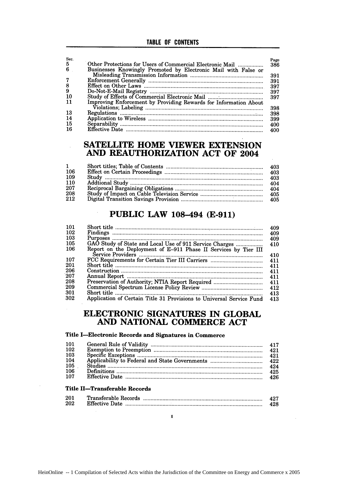| Sec. |                                                                  | Page |
|------|------------------------------------------------------------------|------|
| 5.   |                                                                  | 386  |
| 6.   | Businesses Knowingly Promoted by Electronic Mail with False or   |      |
|      |                                                                  | -391 |
|      |                                                                  |      |
| 8.   |                                                                  | 397  |
| 9    |                                                                  |      |
| 10   |                                                                  |      |
| 11   | Improving Enforcement by Providing Rewards for Information About |      |
|      |                                                                  | -398 |
| 13   |                                                                  | 398  |
| 14   |                                                                  | 399  |
| 15   |                                                                  | 400  |
| 16   | ective Date                                                      | 400  |
|      |                                                                  |      |

## **SATELLITE HOME VIEWER EXTENSION AND REAUTHORIZATION ACT OF 2004**

|     |                 | 403 |
|-----|-----------------|-----|
| 106 |                 | 403 |
| 109 | Study           | 403 |
| 110 | Addtional Study | 404 |
| 207 |                 | 404 |
| 208 |                 | 405 |
| 212 |                 | 405 |

## **PUBLIC LAW 108-494 (E-911)**

| 101 | Short title-                                                         | 409 |
|-----|----------------------------------------------------------------------|-----|
| 102 | Findings                                                             | 409 |
| 103 | Purposes                                                             | 409 |
| 105 | GAO Study of State and Local Use of 911 Service Charges              | 410 |
| 106 | Report on the Deployment of E-911 Phase II Services by Tier III      |     |
|     | Service Providers                                                    |     |
| 107 |                                                                      | 411 |
| 201 | Short title                                                          |     |
| 206 |                                                                      |     |
| 207 | Annual Report                                                        | 41. |
| 208 |                                                                      | 411 |
| 209 |                                                                      | 412 |
| 301 | Short title                                                          | 413 |
| 302 | Application of Certain Title 31 Provisions to Universal Service Fund | 413 |

## **ELECTRONIC SIGNATURES IN GLOBAL AND NATIONAL COMMERCE ACT**

#### Title **I-Electronic Records and Signatures in Commerce**

| 101 | General Rule of Validity       |                 |
|-----|--------------------------------|-----------------|
| 102 | <b>Exemption to Preemption</b> | 42 <sub>1</sub> |
| 103 | Specific Exceptions            | 42 <sub>1</sub> |
| 104 |                                | 422             |
| 105 | studies                        | 424             |
| 106 | <b>Definitions</b>             | 425             |
| 107 | Effective Date                 | 426             |
|     |                                |                 |
|     | $\sim$                         |                 |

#### **Title II-Transferable Records**

| 201 | . .<br>necoras<br>зыегать                                   | יחו<br>ΞA. |
|-----|-------------------------------------------------------------|------------|
| 202 | <b>TACC</b><br>IVA<br>vat<br>$\sim$ Using the set of $\sim$ | 44         |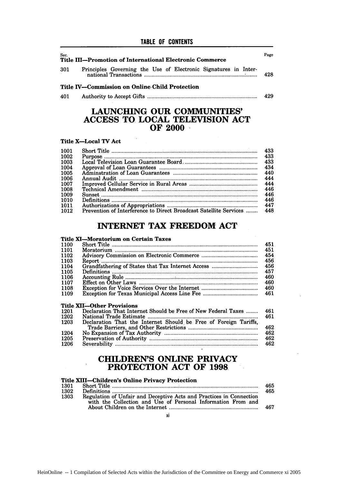| Sec.<br>Title III—Promotion of International Electronic Commerce |                                                                 |     |  |  |  |
|------------------------------------------------------------------|-----------------------------------------------------------------|-----|--|--|--|
| 301                                                              | Principles Governing the Use of Electronic Signatures in Inter- | 428 |  |  |  |
|                                                                  | Title IV—Commission on Online Child Protection                  |     |  |  |  |
| 401 —                                                            |                                                                 | 429 |  |  |  |

## **LAUNCHING OUR COMMUNITIES' ACCESS TO LOCAL TELEVISION ACT OF 2000**

#### **Title X-Local TV Act**

| 1001 |                                                                   | 433 |  |
|------|-------------------------------------------------------------------|-----|--|
| 1002 |                                                                   | 433 |  |
| 1003 |                                                                   | 433 |  |
| 1004 |                                                                   |     |  |
| 1005 |                                                                   | 440 |  |
| 1006 |                                                                   | 444 |  |
| 1007 |                                                                   | 444 |  |
| 1008 | Technical Amendment                                               | 446 |  |
| 1009 | Sunset.                                                           | 446 |  |
| 1010 |                                                                   | 446 |  |
| 1011 |                                                                   | 447 |  |
| 1012 | Prevention of Interference to Direct Broadcast Satellite Services |     |  |
|      |                                                                   |     |  |

### **INTERNET TAX FREEDOM ACT**

#### **Title XI-Moratorium on Certain Taxes**

| 1100 |                                   | 451 |  |
|------|-----------------------------------|-----|--|
| 1101 | Moratorium                        | 451 |  |
| 1102 |                                   | 454 |  |
| 1103 |                                   | 456 |  |
| 1104 |                                   |     |  |
| 1105 |                                   | 451 |  |
| 1106 |                                   | 460 |  |
| 1107 |                                   | 460 |  |
| 1108 |                                   | 460 |  |
| 1109 |                                   |     |  |
|      |                                   |     |  |
|      | <b>Title XII-Other Provisions</b> |     |  |

| 1201 | Declaration That Internet Should be Free of New Federal Taxes  461 |     |
|------|--------------------------------------------------------------------|-----|
| 1202 |                                                                    | 461 |
| 1203 | Declaration That the Internet Should be Free of Foreign Tariffs,   |     |
|      |                                                                    | 462 |
| 1204 |                                                                    | 462 |
| 1205 |                                                                    | 462 |
| 1206 |                                                                    | 462 |

## **CHILDREN'S ONLINE PRIVACY PROTECTION ACT OF 1998**

|      | Title XIII—Children's Online Privacy Protection                     |      |
|------|---------------------------------------------------------------------|------|
| 1301 |                                                                     | 465  |
| 1302 | <b>Definitions</b>                                                  | 465  |
| 1303 | Regulation of Unfair and Deceptive Acts and Practices in Connection |      |
|      | with the Collection and Use of Personal Information From and        |      |
|      |                                                                     | -467 |
|      |                                                                     |      |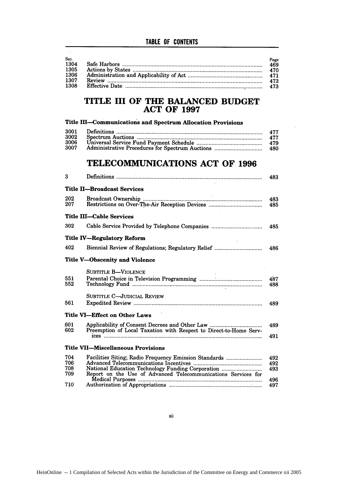$\ddot{\phantom{0}}$ 

| Sec.<br>1304<br>1305<br>1306<br>1307<br>1308 |                                                                                                                                                                             | Page<br>469<br>470<br>471<br>473<br>473 |
|----------------------------------------------|-----------------------------------------------------------------------------------------------------------------------------------------------------------------------------|-----------------------------------------|
|                                              | TITLE III OF THE BALANCED BUDGET<br><b>ACT OF 1997</b>                                                                                                                      |                                         |
|                                              | Title III-Communications and Spectrum Allocation Provisions                                                                                                                 |                                         |
| 3001<br>3002<br>3006<br>3007                 | Administrative Procedures for Spectrum Auctions                                                                                                                             | 477<br>477<br>479<br>480                |
|                                              | TELECOMMUNICATIONS ACT OF 1996                                                                                                                                              |                                         |
| 3                                            |                                                                                                                                                                             | 483                                     |
|                                              | <b>Title II-Broadcast Services</b>                                                                                                                                          |                                         |
| 202<br>207                                   |                                                                                                                                                                             | 483<br>485                              |
|                                              | Title III—Cable Services                                                                                                                                                    |                                         |
| 302                                          | Cable Service Provided by Telephone Companies                                                                                                                               | 485                                     |
|                                              | Title IV—Regulatory Reform                                                                                                                                                  |                                         |
| 402                                          |                                                                                                                                                                             | 486                                     |
|                                              | <b>Title V-Obscenity and Violence</b>                                                                                                                                       |                                         |
| 551<br>552                                   | <b>SUBTITLE B-VIOLENCE</b>                                                                                                                                                  | 487<br>488                              |
|                                              | SUBTITLE C-JUDICIAL REVIEW                                                                                                                                                  |                                         |
| 561                                          |                                                                                                                                                                             | 489                                     |
|                                              | Title VI—Effect on Other Laws                                                                                                                                               |                                         |
| 601<br>602                                   | Applicability of Consent Decrees and Other Law<br>Preemption of Local Taxation with Respect to Direct-to-Home Serv-                                                         | 489<br>491                              |
|                                              | <b>Title VII-Miscellaneous Provisions</b>                                                                                                                                   |                                         |
| 704<br>706<br>708<br>709<br>710              | Facilities Siting; Radio Frequency Emission Standards<br>National Education Technology Funding Corporation<br>Report on the Use of Advanced Telecommunications Services for | 492<br>492<br>493<br>496<br>497         |

xii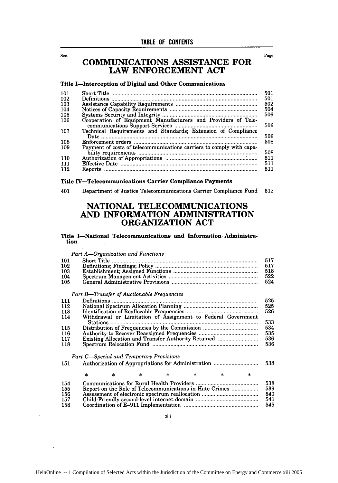Sec. COMMUNICATIONS ASSISTANCE FOR Page **LAW ENFORCEMENT ACT**

#### **Title I-Interception of Digital and Other Communications**

| 101 |                                                                      | 501 |
|-----|----------------------------------------------------------------------|-----|
| 102 |                                                                      | 501 |
| 103 |                                                                      | 502 |
| 104 |                                                                      | 504 |
| 105 |                                                                      | 506 |
| 106 | Cooperation of Equipment Manufacturers and Providers of Tele-        | 506 |
| 107 | Technical Requirements and Standards; Extension of Compliance        | 506 |
| 108 |                                                                      | 508 |
| 109 | Payment of costs of telecommunications carriers to comply with capa- | 508 |
| 110 |                                                                      | 511 |
| 111 |                                                                      | 511 |
| 112 |                                                                      | 511 |

#### **Title IV-Telecommunications Carrier Compliance Payments**

401 Department of Justice Telecommunications Carrier Compliance Fund **512**

## **NATIONAL TELECOMMUNICATIONS AND INFORMATION ADMINISTRATION ORGANIZATION ACT**

#### **Title I-National Telecommunications and Information Administration**

#### *Part A-Organization and Functions*

 $\ddot{\phantom{a}}$ 

| 101 |        |         |                                            |        |                                                              |        |        | 517 |
|-----|--------|---------|--------------------------------------------|--------|--------------------------------------------------------------|--------|--------|-----|
| 102 |        |         |                                            |        |                                                              |        |        | 517 |
| 103 |        |         |                                            |        |                                                              |        |        | 518 |
| 104 |        |         |                                            |        |                                                              |        |        | 522 |
| 105 |        |         |                                            |        |                                                              |        |        | 524 |
|     |        |         | Part B—Transfer of Auctionable Frequencies |        |                                                              |        |        |     |
| 111 |        |         |                                            |        |                                                              |        |        | 525 |
| 112 |        |         |                                            |        |                                                              |        |        | 525 |
| 113 |        |         |                                            |        |                                                              |        |        | 526 |
| 114 |        |         |                                            |        | Withdrawal or Limitation of Assignment to Federal Government |        |        |     |
|     |        |         |                                            |        |                                                              |        |        | 533 |
| 115 |        |         |                                            |        |                                                              |        |        | 534 |
| 116 |        |         |                                            |        |                                                              |        |        | 535 |
| 117 |        |         |                                            |        | Existing Allocation and Transfer Authority Retained          |        |        | 536 |
| 118 |        |         |                                            |        |                                                              |        |        | 536 |
|     |        |         |                                            |        |                                                              |        |        |     |
|     |        |         | Part C—Special and Temporary Provisions    |        |                                                              |        |        |     |
| 151 |        |         |                                            |        |                                                              |        |        | 538 |
|     | $\ast$ | $\star$ | *                                          | $\ast$ | $\ast$                                                       | $\ast$ | $\ast$ |     |
| 154 |        |         |                                            |        |                                                              |        |        | 538 |
|     |        |         |                                            |        | Report on the Role of Telecommunications in Hate Crimes      |        |        | 539 |
| 155 |        |         |                                            |        |                                                              |        |        | 540 |
| 156 |        |         |                                            |        |                                                              |        |        |     |
| 157 |        |         |                                            |        |                                                              |        |        | 541 |
| 158 |        |         |                                            |        |                                                              |        |        | 545 |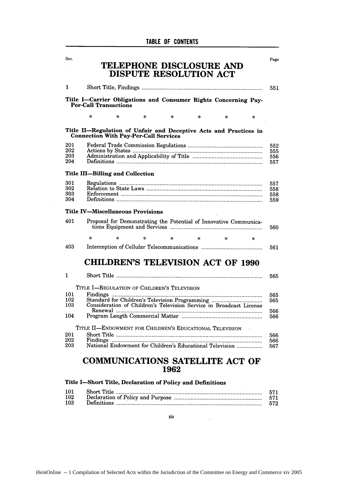| Sec.                     | TELEPHONE DISCLOSURE AND<br><b>DISPUTE RESOLUTION ACT</b>                                                         | Page        |
|--------------------------|-------------------------------------------------------------------------------------------------------------------|-------------|
| $\mathbf{1}$             |                                                                                                                   |             |
|                          | Title I-Carrier Obligations and Consumer Rights Concerning Pay-<br><b>Per-Call Transactions</b>                   |             |
|                          | $\ast$                                                                                                            |             |
|                          | Title II-Regulation of Unfair and Deceptive Acts and Practices in<br><b>Connection With Pay-Per-Call Services</b> |             |
| 201<br>202<br>203<br>204 |                                                                                                                   |             |
|                          | <b>Title III-Billing and Collection</b>                                                                           |             |
| 301<br>302<br>303<br>304 |                                                                                                                   | -558<br>558 |
|                          | <b>Title IV-Miscellaneous Provisions</b>                                                                          |             |
| 401                      | Proposal for Demonstrating the Potential of Innovative Communica-                                                 | 560         |
|                          | $\ast$<br>$\star$                                                                                                 |             |
| 403                      |                                                                                                                   | -561        |
|                          | <b>CHILDREN'S TELEVISION ACT OF 1990</b>                                                                          |             |
| $\mathbf{1}$             |                                                                                                                   | 565         |
|                          | TITLE I-REGULATION OF CHILDREN'S TELEVISION                                                                       |             |
| 101<br>102               | Standard for Children's Television Programming                                                                    | 565<br>565  |
| 103                      | Consideration of Children's Television Service in Broadcast License                                               |             |
| 104                      |                                                                                                                   | 566<br>566  |
|                          | TITLE II—ENDOWMENT FOR CHILDREN'S EDUCATIONAL TELEVISION                                                          |             |
| 201                      |                                                                                                                   | 566         |
| 202<br>203               | National Endowment for Children's Educational Television                                                          | 566<br>567  |
|                          | <b>COMMUNICATIONS SATELLITE ACT OF</b><br>1962                                                                    |             |

 $\bar{z}$ 

## Title I-Short Title, Declaration of Policy and Definitions<br>101 Short Title

| 101 | 571 |
|-----|-----|
|     |     |
| 102 | 571 |
| 103 |     |
|     | 572 |

 $\sim 10$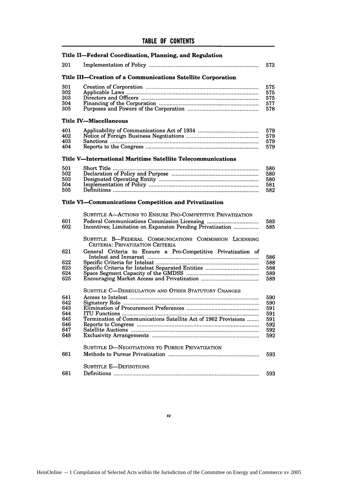#### **Title H-Federal Coordination, Planning, and Regulation**

| 201<br><b>Implementation of Policy</b> |  |  | 573 |  |
|----------------------------------------|--|--|-----|--|
|----------------------------------------|--|--|-----|--|

#### **Title III-Creation of a Communications Satellite Corporation**

| 301 | - 575 |
|-----|-------|
| 302 | - 575 |
| 303 | - 575 |
| 304 | - 577 |
| 305 |       |
|     |       |

#### **Title TV-Miscellaneous**

| `1934<br>Applicability<br>Act.<br>.'ommunications<br>. nt<br>.ስተ             | 570<br>ບເວ |
|------------------------------------------------------------------------------|------------|
| <b>Negotiations</b><br><b>N'OPPIOT</b><br><b>Business</b><br>Notice<br>⊹ ∩ † | ema<br>.   |
| Sanctions                                                                    | EUO<br>ບເະ |
| the<br>orts<br>oneres:<br>Kep<br>t.e                                         | 570<br>ບເວ |
|                                                                              |            |

#### Title V-International Maritime Satellite Telecommunications

| 501 | 580 |
|-----|-----|
| 502 | 580 |
| 503 | 580 |
| 504 | 581 |
| 505 | 582 |
|     |     |

#### Title VI-Communications Competition and Privatization

|     | SUBTITLE A-ACTIONS TO ENSURE PRO-COMPETITIVE PRIVATIZATION                                 |     |
|-----|--------------------------------------------------------------------------------------------|-----|
| 601 |                                                                                            | 583 |
| 602 | Incentives; Limitation on Expansion Pending Privatization                                  | 585 |
|     | SUBTITLE B—FEDERAL COMMUNICATIONS COMMISSION LICENSING<br>CRITERIA: PRIVATIZATION CRITERIA |     |
| 621 | General Criteria to Ensure a Pro-Competitive Privatization of                              | 586 |
| 622 |                                                                                            | 588 |
| 623 |                                                                                            | 588 |
| 624 |                                                                                            | 589 |
| 625 |                                                                                            | 589 |
|     | SUBTITLE C—DEREGULATION AND OTHER STATUTORY CHANGES                                        |     |
| 641 |                                                                                            | 590 |
| 642 |                                                                                            | 590 |
| 643 |                                                                                            | 591 |
| 644 | ITU Functions                                                                              | 591 |
| 645 | Termination of Communications Satellite Act of 1962 Provisions                             | 591 |
| 646 |                                                                                            | 592 |
| 647 |                                                                                            | 592 |
| 648 |                                                                                            | 592 |
|     | SUBTITLE D-NEGOTIATIONS TO PURSUE PRIVATIZATION                                            |     |
| 661 |                                                                                            | 593 |
|     | <b>SUBTITLE E-DEFINITIONS</b>                                                              |     |
|     |                                                                                            |     |
| 681 |                                                                                            | 593 |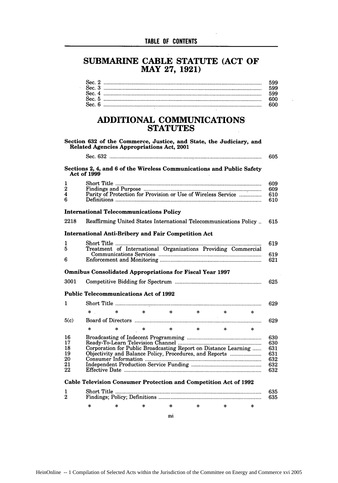## **SUBMARINE CABLE STATUTE (ACT OF MAY 27, 1921)**

| r<br>Sec               | 599  |
|------------------------|------|
| Sec.                   | 599  |
| $S_{\alpha\alpha}$<br> | 599  |
| Sec                    | -600 |
| Sec                    | 600  |

## **ADDITIONAL COMMUNICATIONS STATUTES**

|                                        | Section 632 of the Commerce, Justice, and State, the Judiciary, and<br>Related Agencies Appropriations Act, 2001 |        |         |               |                                                                                                                            |        |               |                                               |
|----------------------------------------|------------------------------------------------------------------------------------------------------------------|--------|---------|---------------|----------------------------------------------------------------------------------------------------------------------------|--------|---------------|-----------------------------------------------|
|                                        |                                                                                                                  |        |         |               |                                                                                                                            |        |               | 605                                           |
|                                        | Sections 2, 4, and 6 of the Wireless Communications and Public Safety<br><b>Act of 1999</b>                      |        |         |               |                                                                                                                            |        |               |                                               |
| 1<br>$\overline{2}$<br>4<br>6          |                                                                                                                  |        |         |               | Parity of Protection for Provision or Use of Wireless Service                                                              |        |               | 609<br>609<br>610<br>610                      |
|                                        | <b>International Telecommunications Policy</b>                                                                   |        |         |               |                                                                                                                            |        |               |                                               |
| 2218                                   |                                                                                                                  |        |         |               | Reaffirming United States International Telecommunications Policy                                                          |        |               | 615                                           |
|                                        | <b>International Anti-Bribery and Fair Competition Act</b>                                                       |        |         |               |                                                                                                                            |        |               |                                               |
| 1<br>5<br>6                            |                                                                                                                  |        |         |               | Treatment of International Organizations Providing Commercial                                                              |        |               | 619<br>619<br>621                             |
|                                        | <b>Omnibus Consolidated Appropriations for Fiscal Year 1997</b>                                                  |        |         |               |                                                                                                                            |        |               |                                               |
| 3001                                   |                                                                                                                  |        |         |               |                                                                                                                            |        |               | 625                                           |
|                                        | <b>Public Telecommunications Act of 1992</b>                                                                     |        |         |               |                                                                                                                            |        |               |                                               |
| 1                                      |                                                                                                                  |        |         |               |                                                                                                                            |        |               | 629                                           |
|                                        | $\ast$                                                                                                           | $\ast$ | $\star$ | $\ast$ $\ast$ |                                                                                                                            | $\ast$ | $\star$       |                                               |
| 5(c)                                   |                                                                                                                  |        |         |               |                                                                                                                            |        |               | 629                                           |
|                                        | $\ast$                                                                                                           | $\ast$ |         | $*$ * *       |                                                                                                                            | $\ast$ | $\mathcal{R}$ |                                               |
| 16<br>17<br>18<br>19<br>20<br>21<br>22 |                                                                                                                  |        |         |               | Corporation for Public Broadcasting Report on Distance Learning<br>Objectivity and Balance Policy, Procedures, and Reports |        |               | 630<br>630<br>631<br>631<br>632<br>632<br>632 |
|                                        | Cable Television Consumer Protection and Competition Act of 1992                                                 |        |         |               |                                                                                                                            |        |               |                                               |
| 1<br>$\mathbf{2}$                      |                                                                                                                  |        |         |               |                                                                                                                            |        |               | 635<br>635                                    |
|                                        | *                                                                                                                | $\ast$ | $\star$ | $*$ and $*$   | $\ast$                                                                                                                     | $\ast$ | *             |                                               |
|                                        |                                                                                                                  |        |         | <b>XVI</b>    |                                                                                                                            |        |               |                                               |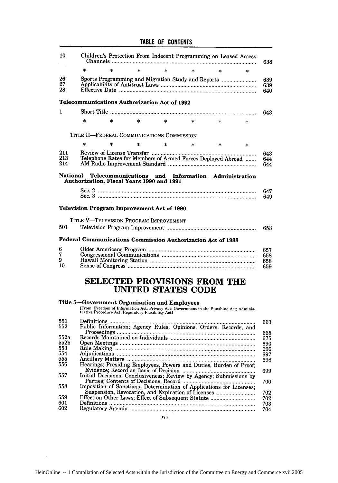#### TABLE OF **CONTENTS**

| 10             |        |        |        | Children's Protection From Indecent Programming on Leased Access                                                                                                                           |              |         |                | 638         |
|----------------|--------|--------|--------|--------------------------------------------------------------------------------------------------------------------------------------------------------------------------------------------|--------------|---------|----------------|-------------|
|                |        | $\ast$ | $\ast$ | $\star$                                                                                                                                                                                    | $\ast$       | $\star$ | $\ast$         |             |
| 26<br>27<br>28 |        |        |        | Sports Programming and Migration Study and Reports                                                                                                                                         |              |         |                | 639<br>-639 |
|                |        |        |        | Telecommunications Authorization Act of 1992                                                                                                                                               |              |         |                |             |
| 1              |        |        |        |                                                                                                                                                                                            |              |         |                | 643         |
|                | $\ast$ | $\ast$ | $\ast$ | $*$ *                                                                                                                                                                                      |              | $\ast$  | $\ast$         |             |
|                |        |        |        | TITLE II—FEDERAL COMMUNICATIONS COMMISSION                                                                                                                                                 |              |         |                |             |
|                | $\ast$ | $\ast$ | $\ast$ | $\ast$                                                                                                                                                                                     | $\mathbf{x}$ | $\ast$  | $\pmb{\times}$ |             |
| 211            |        |        |        |                                                                                                                                                                                            |              |         |                |             |
| 213            |        |        |        | Telephone Rates for Members of Armed Forces Deployed Abroad                                                                                                                                |              |         |                | 643<br>644  |
| 214            |        |        |        |                                                                                                                                                                                            |              |         |                |             |
|                |        |        |        | National Telecommunications and Information Administration<br>Authorization, Fiscal Years 1990 and 1991                                                                                    |              |         |                |             |
|                |        |        |        |                                                                                                                                                                                            |              |         |                |             |
|                |        |        |        |                                                                                                                                                                                            |              |         |                |             |
|                |        |        |        | Television Program Improvement Act of 1990                                                                                                                                                 |              |         |                |             |
|                |        |        |        |                                                                                                                                                                                            |              |         |                |             |
|                |        |        |        | TITLE V-TELEVISION PROGRAM IMPROVEMENT                                                                                                                                                     |              |         |                |             |
| 501            |        |        |        |                                                                                                                                                                                            |              |         |                | -653        |
|                |        |        |        | Federal Communications Commission Authorization Act of 1988                                                                                                                                |              |         |                |             |
| 6              |        |        |        |                                                                                                                                                                                            |              |         |                |             |
| 7              |        |        |        |                                                                                                                                                                                            |              |         |                |             |
| 9<br>10        |        |        |        |                                                                                                                                                                                            |              |         |                |             |
|                |        |        |        |                                                                                                                                                                                            |              |         |                |             |
|                |        |        |        | <b>SELECTED PROVISIONS FROM THE</b><br><b>UNITED STATES CODE</b>                                                                                                                           |              |         |                |             |
|                |        |        |        | Title 5-Government Organization and Employees<br>[From: Freedom of Information Act; Privacy Act; Government in the Sunshine Act; Administrative Procedure Act; Regulatory Flexibility Act] |              |         |                |             |
| 551            |        |        |        |                                                                                                                                                                                            |              |         |                | 663         |
| 552            |        |        |        | Public Information; Agency Rules, Opinions, Orders, Records, and                                                                                                                           |              |         |                | 665         |
| 552a           |        |        |        |                                                                                                                                                                                            |              |         |                | 675         |
| 552b           |        |        |        |                                                                                                                                                                                            |              |         |                | 690         |
| 553<br>554     |        |        |        |                                                                                                                                                                                            |              |         |                | 696         |
| 555            |        |        |        |                                                                                                                                                                                            |              |         |                | 697<br>698  |
| 556            |        |        |        | Hearings; Presiding Employees, Powers and Duties, Burden of Proof;                                                                                                                         |              |         |                |             |
|                |        |        |        |                                                                                                                                                                                            |              |         |                | 699         |
| 557            |        |        |        | Initial Decisions; Conclusiveness; Review by Agency; Submissions by                                                                                                                        |              |         |                |             |
|                |        |        |        |                                                                                                                                                                                            |              |         |                | 700         |

558 Imposition of Sanctions; Determination of Applications for Licenses; Suspension, Revocation, and Expiration of Licenses .......................... 702 559 Effect on Other Laws; Effect of Subsequent Statute **..............................** 702 601 D efi n itions **..................................................................................................** 703 602 R egulatory A genda **....................................................................................** 704

 $\overline{\phantom{a}}$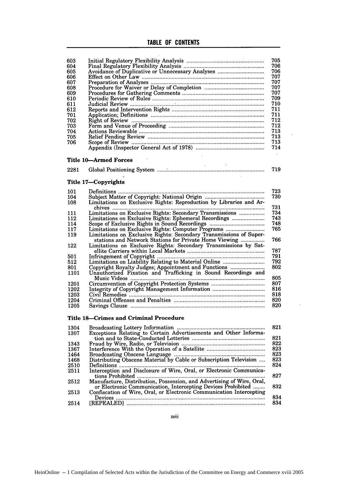| 603  |                                                                                                                                      | 705        |
|------|--------------------------------------------------------------------------------------------------------------------------------------|------------|
| 604  |                                                                                                                                      | 706        |
| 605  | Avoidance of Duplicative or Unnecessary Analyses                                                                                     | 706        |
| 606  |                                                                                                                                      | 707        |
| 607  |                                                                                                                                      | 707        |
| 608  | Procedure for Waiver or Delay of Completion                                                                                          | 707        |
| 609  |                                                                                                                                      | 707        |
| 610  |                                                                                                                                      | 709        |
| 611  |                                                                                                                                      | 710        |
| 612  |                                                                                                                                      | 711        |
| 701  |                                                                                                                                      | 711        |
| 702  |                                                                                                                                      | 712        |
| 703  |                                                                                                                                      | 712        |
| 704  |                                                                                                                                      | 713        |
| 705  |                                                                                                                                      | 713<br>713 |
| 706  |                                                                                                                                      | 714        |
|      |                                                                                                                                      |            |
|      | Title 10—Armed Forces                                                                                                                |            |
| 2281 |                                                                                                                                      | 719        |
|      | Title 17—Copyrights                                                                                                                  |            |
| 101  |                                                                                                                                      | 723        |
| 104  |                                                                                                                                      | 730        |
| 108  | Limitations on Exclusive Rights: Reproduction by Libraries and Ar-                                                                   | 731        |
| 111  | Limitations on Exclusive Rights: Secondary Transmissions                                                                             | 734        |
| 112  | Limitations on Exclusive Rights: Ephemeral Recordings                                                                                | 743        |
| 114  |                                                                                                                                      | 748        |
| 117  | Limitations on Exclusive Rights: Computer Programs                                                                                   | 765        |
| 119  | Limitations on Exclusive Rights: Secondary Transmissions of Super-                                                                   |            |
|      | stations and Network Stations for Private Home Viewing                                                                               | 766        |
| 122  | Limitations on Exclusive Rights: Secondary Transmissions by Sat-                                                                     |            |
|      |                                                                                                                                      | 787        |
| 501  |                                                                                                                                      | 791        |
| 512  | Limitations on Liability Relating to Material Online                                                                                 | 792        |
| 801  | Copyright Royalty Judges; Appointment and Functions<br>Unauthorized Fixation and Trafficking in Sound Recordings and                 | 802        |
| 1101 |                                                                                                                                      |            |
|      |                                                                                                                                      | 805        |
| 1201 |                                                                                                                                      | 807        |
| 1202 | Integrity of Copyright Management Information                                                                                        | 816        |
| 1203 |                                                                                                                                      | 818        |
| 1204 |                                                                                                                                      | 820<br>820 |
| 1205 |                                                                                                                                      |            |
|      | Title 18–Crimes and Criminal Procedure                                                                                               |            |
| 1304 |                                                                                                                                      | 821        |
| 1307 | Exceptions Relating to Certain Advertisements and Other Informa-                                                                     | 821        |
| 1343 |                                                                                                                                      | 822        |
| 1367 |                                                                                                                                      | 823        |
| 1464 |                                                                                                                                      | 823        |
| 1468 |                                                                                                                                      | 823        |
| 2510 |                                                                                                                                      | 824        |
| 2511 |                                                                                                                                      | 827        |
| 2512 | Manufacture, Distribution, Possession, and Advertising of Wire, Oral,                                                                |            |
| 2513 | or Electronic Communication, Intercepting Devices Prohibited<br>Confiscation of Wire, Oral, or Electronic Communication Intercepting | 832        |
|      |                                                                                                                                      | 834        |
| 2514 |                                                                                                                                      | 834        |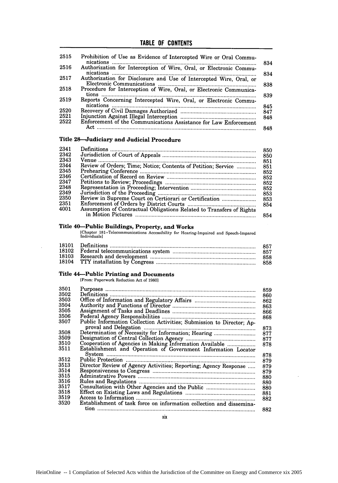| 2515 | Prohibition of Use as Evidence of Intercepted Wire or Oral Commu-  | 834 |
|------|--------------------------------------------------------------------|-----|
| 2516 | Authorization for Interception of Wire, Oral, or Electronic Commu- | 834 |
| 2517 | Authorization for Disclosure and Use of Intercepted Wire, Oral, or | 838 |
| 2518 | Procedure for Interception of Wire, Oral, or Electronic Communica- | 839 |
| 2519 | Reports Concerning Intercepted Wire, Oral, or Electronic Commu-    | 845 |
| 2520 |                                                                    | 847 |
| 2521 |                                                                    | 848 |
| 2522 | Enforcement of the Communications Assistance for Law Enforcement   | 848 |
|      |                                                                    |     |

## **Title 28-Judiciary and Judicial Procedure**

| 2341 | Definitions                                                          | 850  |
|------|----------------------------------------------------------------------|------|
| 2342 |                                                                      | 850  |
| 2343 |                                                                      | 851  |
| 2344 | Review of Orders; Time; Notice; Contents of Petition; Service        | 851  |
| 2345 |                                                                      | 852  |
| 2346 |                                                                      | 852  |
| 2347 |                                                                      | 852  |
| 2348 |                                                                      | 852  |
| 2349 |                                                                      | 853  |
| 2350 | Review in Supreme Court on Certiorari or Certification               | 853  |
| 2351 |                                                                      | -854 |
| 4001 | Assumption of Contractual Obligations Related to Transfers of Rights |      |
|      | in Motion Pictures                                                   |      |
|      |                                                                      |      |

## **Title 40-Public Buildings, Property, and Works**

[Chapter 181--Telecommunications Accessibility for Hearing-Impaired and Speech-Impared Individuals]

|  | 857 |
|--|-----|
|  | 857 |
|  | 858 |
|  | 858 |

## **Title 44-Public Printing and Documents** [From: Paperwork Reduction Act of 1980]

| 3501 |                                                                                                | 859 |
|------|------------------------------------------------------------------------------------------------|-----|
| 3502 |                                                                                                | 860 |
| 3503 |                                                                                                | 862 |
| 3504 |                                                                                                | 863 |
| 3505 |                                                                                                | 866 |
| 3506 |                                                                                                | 868 |
| 3507 | Public Information Collection Activities; Submission to Director; Ap-<br>proval and Delegation | 873 |
| 3508 | Determination of Necessity for Information; Hearing                                            | 877 |
| 3509 |                                                                                                | 877 |
| 3510 | Cooperation of Agencies in Making Information Available                                        | 878 |
| 3511 | Establishment and Operation of Government Information Locator                                  | 878 |
| 3512 |                                                                                                | 879 |
| 3513 | Director Review of Agency Activities; Reporting; Agency Response                               | 879 |
| 3514 |                                                                                                | 879 |
| 3515 |                                                                                                | 880 |
| 3516 |                                                                                                | 880 |
| 3517 | Consultation with Other Agencies and the Public                                                | 880 |
| 3518 |                                                                                                | 881 |
| 3519 |                                                                                                | 882 |
| 3520 | Establishment of task force on information collection and dissemina-                           | 882 |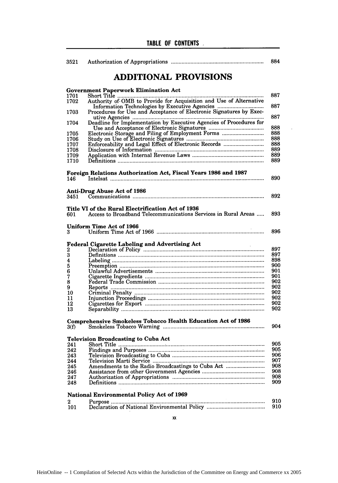| 3521 | Authorization of Appropriations. |  | 884 |  |
|------|----------------------------------|--|-----|--|
|------|----------------------------------|--|-----|--|

## **ADDITIONAL PROVISIONS**

|                | <b>Government Paperwork Elimination Act</b>                         |     |  |
|----------------|---------------------------------------------------------------------|-----|--|
| 1701           |                                                                     | 887 |  |
| 1702           | Authority of OMB to Provide for Acquisition and Use of Alternative  |     |  |
|                | Information Technologies by Executive Agencies                      | 887 |  |
| 1703           | Procedures for Use and Acceptance of Electronic Signatures by Exec- |     |  |
|                |                                                                     | 887 |  |
| 1704           | Deadline for Implementation by Executive Agencies of Procedures for |     |  |
|                |                                                                     | 888 |  |
| 1705           | Electronic Storage and Filing of Employment Forms                   | 888 |  |
| 1706           |                                                                     | 888 |  |
| 1707           |                                                                     | 888 |  |
| 1708           |                                                                     | 889 |  |
| 1709           |                                                                     |     |  |
| 1710           |                                                                     | 889 |  |
|                | Foreign Relations Authorization Act, Fiscal Years 1986 and 1987     |     |  |
| 146            |                                                                     | 890 |  |
|                |                                                                     |     |  |
|                | Anti-Drug Abuse Act of 1986                                         |     |  |
| 3451           |                                                                     | 892 |  |
|                |                                                                     |     |  |
|                | Title VI of the Rural Electrification Act of 1936                   |     |  |
| 601            | Access to Broadband Telecommunications Services in Rural Areas      | 893 |  |
|                |                                                                     |     |  |
|                | Uniform Time Act of 1966                                            |     |  |
| 3              |                                                                     | 896 |  |
|                |                                                                     |     |  |
|                | <b>Federal Cigarette Labeling and Advertising Act</b>               |     |  |
| 2              |                                                                     | 897 |  |
| 3              |                                                                     | 897 |  |
| 4              |                                                                     | 898 |  |
| 5              |                                                                     | 900 |  |
| 6              |                                                                     | 901 |  |
| 7              |                                                                     | 901 |  |
| 8              |                                                                     | 902 |  |
| 9              |                                                                     | 902 |  |
| 10             |                                                                     | 902 |  |
| 11             |                                                                     | 902 |  |
| 12             |                                                                     | 902 |  |
|                |                                                                     | 902 |  |
| 13             |                                                                     |     |  |
|                |                                                                     |     |  |
|                | Comprehensive Smokeless Tobacco Health Education Act of 1986        | 904 |  |
| 3(f)           |                                                                     |     |  |
|                |                                                                     |     |  |
|                | <b>Television Broadcasting to Cuba Act</b>                          |     |  |
| 241            |                                                                     | 905 |  |
| 242            |                                                                     | 905 |  |
| 243            |                                                                     | 906 |  |
| 244            |                                                                     | 907 |  |
| 245            |                                                                     | 908 |  |
| 246            |                                                                     | 908 |  |
| 247            |                                                                     | 908 |  |
| 248            |                                                                     | 909 |  |
|                |                                                                     |     |  |
|                | <b>National Environmental Policy Act of 1969</b>                    |     |  |
| $\overline{2}$ |                                                                     | 910 |  |
| 101            |                                                                     | 910 |  |
|                |                                                                     |     |  |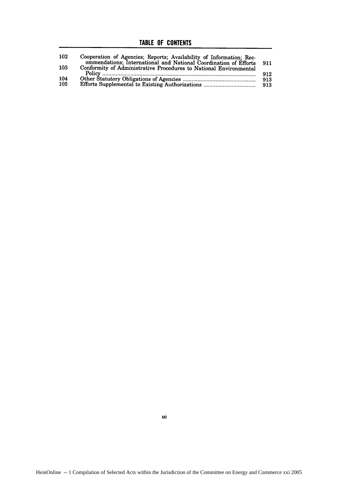| ommendations; International and National Coordination of Efforts 911 |
|----------------------------------------------------------------------|
|                                                                      |
| 912                                                                  |
| 913                                                                  |
| 913                                                                  |
|                                                                      |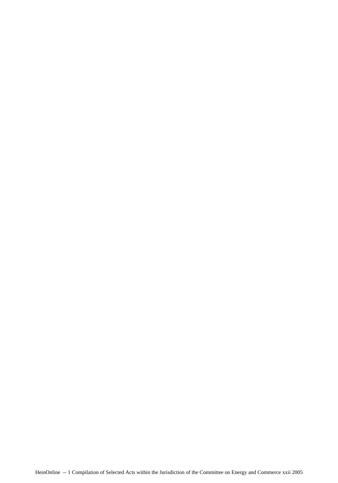HeinOnline -- 1 Compilation of Selected Acts within the Jurisdiction of the Committee on Energy and Commerce xxii 2005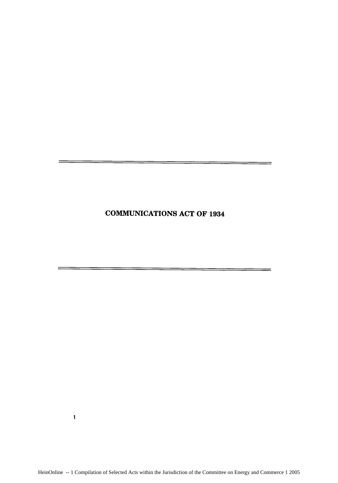## **COMMUNICATIONS ACT** OF 1934

—————

 $=$ 

 $\mathbf{1}$